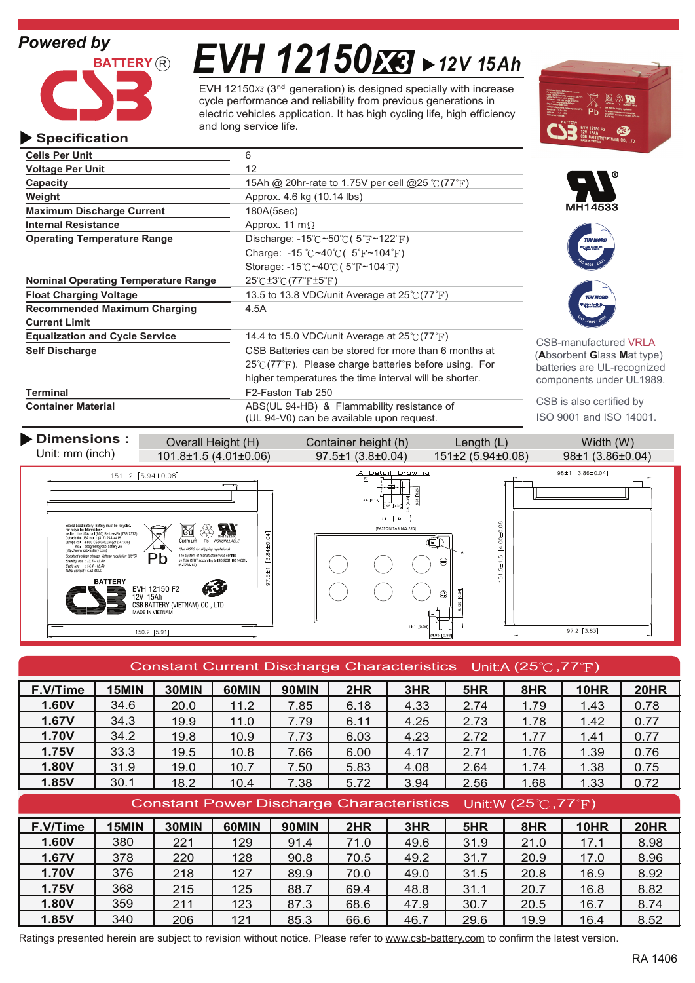

# *EVH 12150 12V 15Ah X3*

EVH 12150x<sub>3</sub> (3<sup>nd</sup> generation) is designed specially with increase electric vehicles application. It has high cycling life, high efficiency and long service life. cycle performance and reliability from previous generations in



## **Specification**

| <b>Cells Per Unit</b>                                                                            | 6                                                                         |                              |
|--------------------------------------------------------------------------------------------------|---------------------------------------------------------------------------|------------------------------|
| <b>Voltage Per Unit</b>                                                                          | 12                                                                        |                              |
| Capacity                                                                                         |                                                                           |                              |
| Weight                                                                                           |                                                                           |                              |
| <b>Maximum Discharge Current</b>                                                                 | MH14533                                                                   |                              |
| <b>Internal Resistance</b>                                                                       | Approx. 11 m $\Omega$                                                     |                              |
| <b>Operating Temperature Range</b>                                                               | Discharge: $-15^{\circ}$ C ~50 $\circ$ C (5 $\circ$ F ~122 $\circ$ F)     | <b>TUV NOR</b>               |
|                                                                                                  | Charge: -15 °C ~40 °C ( $5$ °F ~104 °F)                                   |                              |
|                                                                                                  | Storage: $-15^{\circ}$ C ~40 $\circ$ C (5 $\circ$ F ~104 $\circ$ F)       |                              |
| <b>Nominal Operating Temperature Range</b>                                                       | $25^{\circ}$ C $\pm 3^{\circ}$ C $(77^{\circ}$ F $\pm 5^{\circ}$ F)       |                              |
| 13.5 to 13.8 VDC/unit Average at $25^{\circ}$ (77 $^{\circ}$ F)<br><b>Float Charging Voltage</b> |                                                                           | <b>TUV NOR</b>               |
| <b>Recommended Maximum Charging</b>                                                              | 4.5A                                                                      |                              |
| <b>Current Limit</b>                                                                             |                                                                           |                              |
| <b>Equalization and Cycle Service</b>                                                            | 14.4 to 15.0 VDC/unit Average at $25^{\circ}$ (77 $^{\circ}$ F)           | <b>CSB-manufactured VRLA</b> |
| <b>Self Discharge</b>                                                                            | CSB Batteries can be stored for more than 6 months at                     | (Absorbent Glass Mat type)   |
|                                                                                                  | $25^{\circ}$ (77 $^{\circ}$ F). Please charge batteries before using. For | batteries are UL-recognized  |
|                                                                                                  | higher temperatures the time interval will be shorter.                    | components under UL1989.     |
| <b>Terminal</b>                                                                                  | F2-Faston Tab 250                                                         |                              |
| <b>Container Material</b>                                                                        | ABS(UL 94-HB) & Flammability resistance of                                | CSB is also certified by     |
|                                                                                                  | (UL 94-V0) can be available upon request.                                 | ISO 9001 and ISO 14001.      |

**Dimensions :** Overall Height (H) Container height (h) Length (L) Width (W) Unit: mm (inch) 101.8±1.5 (4.01±0.06) 97.5±1 (3.8±0.04) 151±2 (5.94±0.08) 98±1 (3.86±0.04) A Detail Drawing 98±1  $[3.86 \pm 0.04]$ 151±2 [5.94±0.08] ۰Ĥ  $\Box$ ŋ  $3.4 [0.1]$  $\overline{3}$  $\frac{1}{2}$ 101.5±1.5 [4.00±0.06] **IFASTON TAB NO**  $\overline{\text{C}_{\text{admlum}}^{\text{top}}}$ 97.5±1 [3.84±0.04] ୍ଦ<br>Pb Ó .<br>See MSDS for shinning  $Pb$ The system of manufacturer was certified<br>by TUV CERT according to ISO 9001, ISO 1- $\in$ **BATTERY** EVH 12150 F2<br>12V 15Ah<br>CSB BATTERY (VIETNAM) CO., LTD.<br>MADE IN VIETNAM  $125$  $14.1$  [0.5  $97.2 [3.83]$  $150.2 [5.91]$ 

| Constant Current Discharge Characteristics Unit:A (25 $\degree$ C, 77 $\degree$ F) |       |       |       |                                                                                 |      |      |      |      |             |             |
|------------------------------------------------------------------------------------|-------|-------|-------|---------------------------------------------------------------------------------|------|------|------|------|-------------|-------------|
| F.V/Time                                                                           | 15MIN | 30MIN | 60MIN | <b>90MIN</b>                                                                    | 2HR  | 3HR  | 5HR  | 8HR  | <b>10HR</b> | <b>20HR</b> |
| 1.60V                                                                              | 34.6  | 20.0  | 11.2  | 7.85                                                                            | 6.18 | 4.33 | 2.74 | 1.79 | 1.43        | 0.78        |
| 1.67V                                                                              | 34.3  | 19.9  | 11.0  | 7.79                                                                            | 6.11 | 4.25 | 2.73 | 1.78 | 1.42        | 0.77        |
| 1.70V                                                                              | 34.2  | 19.8  | 10.9  | 7.73                                                                            | 6.03 | 4.23 | 2.72 | 1.77 | 1.41        | 0.77        |
| 1.75V                                                                              | 33.3  | 19.5  | 10.8  | 7.66                                                                            | 6.00 | 4.17 | 2.71 | 1.76 | 1.39        | 0.76        |
| 1.80V                                                                              | 31.9  | 19.0  | 10.7  | 7.50                                                                            | 5.83 | 4.08 | 2.64 | 1.74 | 1.38        | 0.75        |
| 1.85V                                                                              | 30.1  | 18.2  | 10.4  | 7.38                                                                            | 5.72 | 3.94 | 2.56 | 1.68 | 1.33        | 0.72        |
|                                                                                    |       |       |       |                                                                                 |      |      |      |      |             |             |
|                                                                                    |       |       |       | Constant Power Discharge Characteristics Unit:W (25 $\degree$ C,77 $\degree$ F) |      |      |      |      |             |             |
| F.V/Time                                                                           | 15MIN | 30MIN | 60MIN | <b>90MIN</b>                                                                    | 2HR  | 3HR  | 5HR  | 8HR  | <b>10HR</b> | <b>20HR</b> |
| 1.60V                                                                              | 380   | 221   | 129   | 91.4                                                                            | 71.0 | 49.6 | 31.9 | 21.0 | 17.1        | 8.98        |
| 1.67V                                                                              | 378   | 220   | 128   | 90.8                                                                            | 70.5 | 49.2 | 31.7 | 20.9 | 17.0        | 8.96        |
| 1.70V                                                                              | 376   | 218   | 127   | 89.9                                                                            | 70.0 | 49.0 | 31.5 | 20.8 | 16.9        | 8.92        |
| 1.75V                                                                              | 368   | 215   | 125   | 88.7                                                                            | 69.4 | 48.8 | 31.1 | 20.7 | 16.8        | 8.82        |
| 1.80V                                                                              | 359   | 211   | 123   | 87.3                                                                            | 68.6 | 47.9 | 30.7 | 20.5 | 16.7        | 8.74        |

Ratings presented herein are subject to revision without notice. Please refer to www.csb-battery.com to confirm the latest version.